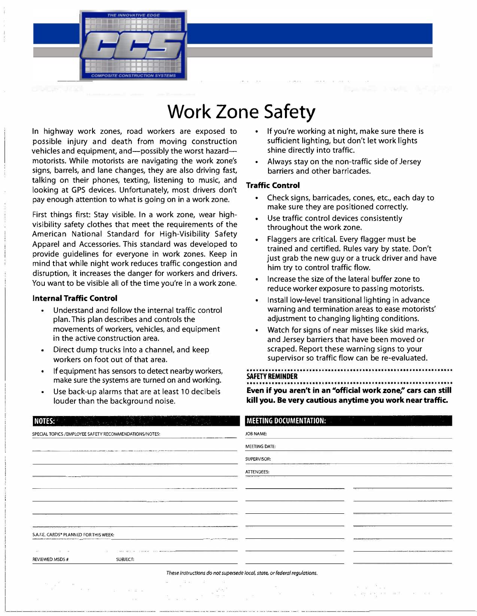

## **Work Zone Safety**

In highway work zones, road workers are exposed to possible injury and death from moving construction vehicles and equipment, and—possibly the worst hazard motorists. While motorists are navigating the work zone's signs, barrels, and lane changes, they are also driving fast, talking on their phones, texting, listening to music, and looking at GPS devices. Unfortunately, most drivers don't pay enough attention to what is going on in a work zone.

First things first: Stay visible. In a work zone, wear highvisibility safety clothes that meet the requirements of the American National Standard for High-Visibility Safety Apparel and Accessories. This standard was developed to provide guidelines for everyone in work zones. Keep in mind that while night work reduces traffic congestion and disruption, it increases the danger for workers and drivers. You want to be visible all of the time you're in a work zone.

#### **Internal Traffic Control**

- Understand and follow the internal traffic control plan. This plan describes and controls the movements of workers, vehicles, and equipment in the active construction area.
- Direct dump trucks into a channel, and keep workers on foot out of that area.
- If equipment has sensors to detect nearby workers, make sure the systems are turned on and working.
- Use back-up alarms that are at least 10 decibels louder than the background noise.
- If you're working at night, make sure there is sufficient lighting, but don't let work lights shine directly into traffic.
- Always stay on the non-traffic side of Jersey barriers and other barricades.

### **Traffic Control**

- Check signs, barricades, cones, etc., each day to make sure they are positioned correctly.
- Use traffic control devices consistently throughout the work zone.
- Flaggers are critical. Every flagger must be trained and certified. Rules vary by state. Don't just grab the new guy or a truck driver and have him try to control traffic flow.
- Increase the size of the lateral buffer zone to reduce worker exposure to passing motorists.
- Install low-level transitional lighting in advance warning and termination areas to ease motorists' adjustment to changing lighting conditions.
- Watch for signs of near misses like skid marks, and Jersey barriers that have been moved or scraped. Report these warning signs to your supervisor so traffic flow can be re-evaluated.

**SAFETY REMINDER** 

Even if you aren't in an "official work zone," cars can still **kill you. Be very cautious anytime you work near traffic.** 

| NOTES:                                                                                                                                                                                                                         | <b>MEETING DOCUMENTATION:</b>                                                                                        |
|--------------------------------------------------------------------------------------------------------------------------------------------------------------------------------------------------------------------------------|----------------------------------------------------------------------------------------------------------------------|
| SPECIAL TOPICS / EMPLOYEE SAFETY RECOMMENDATIONS/NOTES:                                                                                                                                                                        | JOB NAME:                                                                                                            |
| A WALKAWA WAS ARRESTED FOR A WAY ASSEMBLY TO PAY ARREST FOR THE CONTRACT FOR THE ANNUAL MICHAEL TO THE MAIN COMPANY OF THE COMPANY OF THE COMPANY OF THE COMPANY OF THE COMPANY OF THE COMPANY OF THE COMPANY OF THE COMPANY O | MEETING DATE:                                                                                                        |
| CONTRACTORS AND RESIDENCE OF THE                                                                                                                                                                                               | SUPERVISOR:                                                                                                          |
| .                                                                                                                                                                                                                              | ATTENDEES:                                                                                                           |
|                                                                                                                                                                                                                                |                                                                                                                      |
| production of the State of the manner of a filler                                                                                                                                                                              | <b>A district and a considerable for the construction</b>                                                            |
| <b>CONTRACTOR</b>                                                                                                                                                                                                              |                                                                                                                      |
|                                                                                                                                                                                                                                |                                                                                                                      |
| S.A.F.E. CARDS <sup>®</sup> PLANNED FOR THIS WEEK:<br><b>CONTRACTOR COMMERCIAL CONTRACTOR CONTRACTOR CONTRACTOR</b>                                                                                                            |                                                                                                                      |
| the control of the con-<br>$\mathbf{1}$<br>$\mathcal{C}^{\mathrm{c}}$ .                                                                                                                                                        | <b>Manufacturer of the community of the construction of the Constitution of the Constitution of the Constitution</b> |
| REVIEWED MSDS #<br>SUBJECT:                                                                                                                                                                                                    |                                                                                                                      |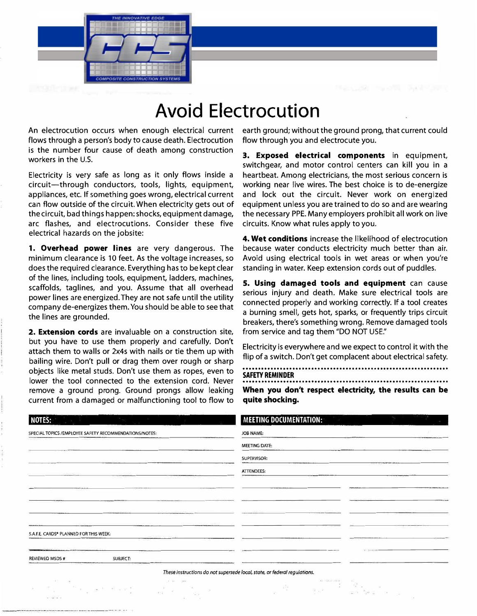

### **Avoid Electrocution**

An electrocution occurs when enough electrical current flows through a person's body to cause death. Electrocution is the number four cause of death among construction workers in the U.S.

Electricity is very safe as long as it only flows inside a circuit-through conductors, tools, lights, equipment, appliances, etc. If something goes wrong, electrical current can flow outside of the circuit. When electricity gets out of the circuit, bad things happen: shocks, equipment damage, arc flashes, and electrocutions. Consider these five electrical hazards on the jobsite:

**1. Overhead power lines** are very dangerous. The minimum clearance is 10 feet. As the voltage increases, so does the required clearance. Everything has to be kept clear of the lines, including tools, equipment, ladders, machines, scaffolds, taglines, and you. Assume that all overhead power lines are energized. They are not safe until the utility company de-energizes them. You should be able to see that the lines are grounded.

**2. Extension cords** are invaluable on a construction site, but you have to use them properly and carefully. Don't attach them to walls or 2x4s with nails or tie them up with bailing wire. Don't pull or drag them over rough or sharp objects like metal studs. Don't use them as ropes, even to lower the tool connected to the extension cord. Never remove a ground prong. Ground prongs allow leaking current from a damaged or malfunctioning tool to flow to

earth ground; without the ground prong, that current could flow through you and electrocute you.

**3. Exposed electrical components** in equipment, switchgear, and motor control centers can kill you in a heartbeat. Among electricians, the most serious concern is working near live wires. The best choice is to de-energize and lock out the circuit. Never work on energized equipment unless you are trained to do so and are wearing the necessary PPE. Many employers prohibit all work on live circuits. Know what rules apply to you.

**4. Wet conditions** increase the likelihood of electrocution because water conducts electricity much better than air. Avoid using electrical tools in wet areas or when you're standing in water. Keep extension cords out of puddles.

**5. Using damaged tools and equipment** can cause serious injury and death. Make sure electrical tools are connected properly and working correctly. If a tool creates a burning smell, gets hot, sparks, or frequently trips circuit breakers, there's something wrong. Remove damaged tools from service and tag them "DO NOT USE."

Electricity is everywhere and we expect to control it with the flip of a switch. Don't get complacent about electrical safety.

··································································

**SAFETY REMINDER**  ...••••••...........•••.••••.•...................••••.............

**When you don't respect electricity, the results can be quite shocking.** 

| NOTES:                                                  |          |                          | <b>MEETING DOCUMENTATION:</b>                                                                       |  |
|---------------------------------------------------------|----------|--------------------------|-----------------------------------------------------------------------------------------------------|--|
| SPECIAL TOPICS / EMPLOYEE SAFETY RECOMMENDATIONS/NOTES: |          |                          | JOB NAME:                                                                                           |  |
|                                                         |          |                          | MEETING DATE:                                                                                       |  |
|                                                         |          |                          | SUPERVISOR:                                                                                         |  |
|                                                         |          |                          | ATTENDEES:                                                                                          |  |
|                                                         |          |                          |                                                                                                     |  |
|                                                         |          |                          |                                                                                                     |  |
|                                                         |          |                          |                                                                                                     |  |
|                                                         |          |                          |                                                                                                     |  |
| S.A.F.E. CARDS <sup>®</sup> PLANNED FOR THIS WEEK:      |          |                          |                                                                                                     |  |
|                                                         |          |                          |                                                                                                     |  |
| REVIEWED MSDS #                                         | SUBJECT: |                          |                                                                                                     |  |
|                                                         |          |                          | These instructions do not supersede local, state, or federal regulations.                           |  |
|                                                         |          | -11<br><b>CONTRACTOR</b> | $11 - 2221 - 243$<br>$\mathcal{D}^{\mathcal{A}}_{\mathcal{A}}$ , $\mathcal{D}^{\mathcal{A}}$<br>sti |  |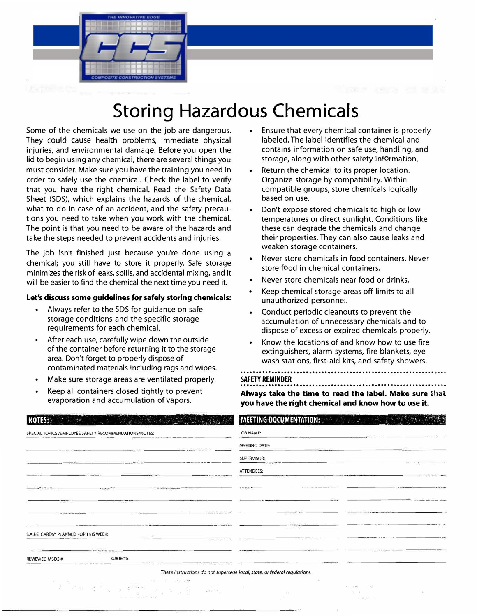

# **Storing Hazardous Chemicals**

Some of the chemicals we use on the job are dangerous. They could cause health problems, immediate physical injuries, and environmental damage. Before you open the lid to begin using any chemical, there are several things you must consider. Make sure you have the training you need in order to safely use the chemical. Check the label to verify that you have the right chemical. Read the Safety Data Sheet (SDS), which explains the hazards of the chemical, what to do in case of an accident, and the safety precautions you need to take when you work with the chemical. The point is that you need to be aware of the hazards and take the steps needed to prevent accidents and injuries.

The job isn't finished just because you're done using a chemical; you still have to store it properly. Safe storage minimizes the risk of leaks, spills, and accidental mixing, and it will be easier to find the chemical the next time you need it.

#### **Let's discuss some guidelines for safely storing chemicals:**

- Always refer to the SDS for guidance on safe storage conditions and the specific storage requirements for each chemical.
- • After each use, carefully wipe down the outside of the container before returning it to the storage area. Don't forget to properly dispose of contaminated materials including rags and wipes.
- Make sure storage areas are ventilated properly.
- Keep all containers closed tightly to prevent evaporation and accumulation of vapors.

 $\mathbb{R}^2\otimes\mathbb{R}^{\mathbb{Z}}\times\mathbb{R}^{\mathbb{Z}}\times\mathbb{R}^{\mathbb{Z}}\xrightarrow{\mathbb{R}^2}\mathbb{R}^{\mathbb{Z}}\times\mathbb{R}$ 

- • Ensure that every chemical container is properly labeled. The label identifies the chemical and contains information on safe use, handling, and storage, along with other safety information.
- Return the chemical to its proper location. Organize storage by compatibility. Within compatible groups, store chemicals logically based on use.
- Don't expose stored chemicals to high or low temperatures or direct sunlight. Conditions like these can degrade the chemicals and change their properties. They can also cause leaks and weaken storage containers.
- Never store chemicals in food containers. Never store food in chemical containers.
- Never store chemicals near food or drinks.
- • Keep chemical storage areas off limits to all unauthorized personnel.
- Conduct periodic cleanouts to prevent the accumulation of unnecessary chemicals and to dispose of excess or expired chemicals properly.
- Know the locations of and know how to use fire extinguishers, alarm systems, fire blankets, eye wash stations, first-aid kits, and safety showers.

### **SAFETY REMINDER**

······························································ ··�- **Always take the time to read the label. Make sure that you have the right chemical and know how to use it.** 

································································· ·

| NOTES: White the company of the company of the company of the company of the company of the company of the company of the company of the company of the company of the company of the company of the company of the company of | <b>MEETING DOCUMENTATION:</b>                                                                             |
|--------------------------------------------------------------------------------------------------------------------------------------------------------------------------------------------------------------------------------|-----------------------------------------------------------------------------------------------------------|
| SPECIAL TOPICS / EMPLOYEE SAFETY RECOMMENDATIONS/NOTES:                                                                                                                                                                        | JOB NAME:<br>produced a complete and a series<br><b><i><u>OFFICERS FOR THE COMPANY OF ARTISTS</u></i></b> |
| <b>CONTRACTOR</b> AND INCOME IN THE<br><b>The Secretary Contract</b><br><b>AT CART O'R LLC STRUCK BOOTS</b>                                                                                                                    | MEETING DATE:                                                                                             |
| before the determination of the com-                                                                                                                                                                                           | SUPERVISOR:<br><b><i>Change State States</i></b><br><b>CONTRACTOR</b>                                     |
| The Company's com-<br><b>TOMATION</b><br><b>FOR P. STATER RIGHTS PRODUCT</b>                                                                                                                                                   | <b>ATTENDEES:</b>                                                                                         |
| computer must be care starts<br>THE TRUCK AND LODGED TO BE LOOK<br><b><i><u>PERSONAL PROPERTY AND ACCUSERED AT LCCC.</u></i></b>                                                                                               | <b>BERNHAMLANDA</b>                                                                                       |
| <b>CONTRACTOR</b><br><b>COMPANY LIGHTER PRAISE COUNTY</b>                                                                                                                                                                      | think on a workshop weaker to be set thinking                                                             |
| come a fact that in the fact and make discuss and interesting<br>The competition of a state and have an electronic                                                                                                             | www.caracterization.com rate and rule                                                                     |
| <b>Highland College II</b>                                                                                                                                                                                                     | <b><i><u>A.M., ARIZ ART (ARIZE ARE)</u></i></b>                                                           |
| S.A.F.E. CARDS® PLANNED FOR THIS WEEK:<br><b>BEING AN INVESTIGATION CONTINUES</b>                                                                                                                                              |                                                                                                           |
| <b>BARANSY O'R SA-TEK KYNNE</b>                                                                                                                                                                                                |                                                                                                           |
| <b>SUBJECT:</b><br><b>REVIEWED MSDS#</b>                                                                                                                                                                                       |                                                                                                           |
|                                                                                                                                                                                                                                | These instructions do not supersede local, state, or federal regulations.                                 |